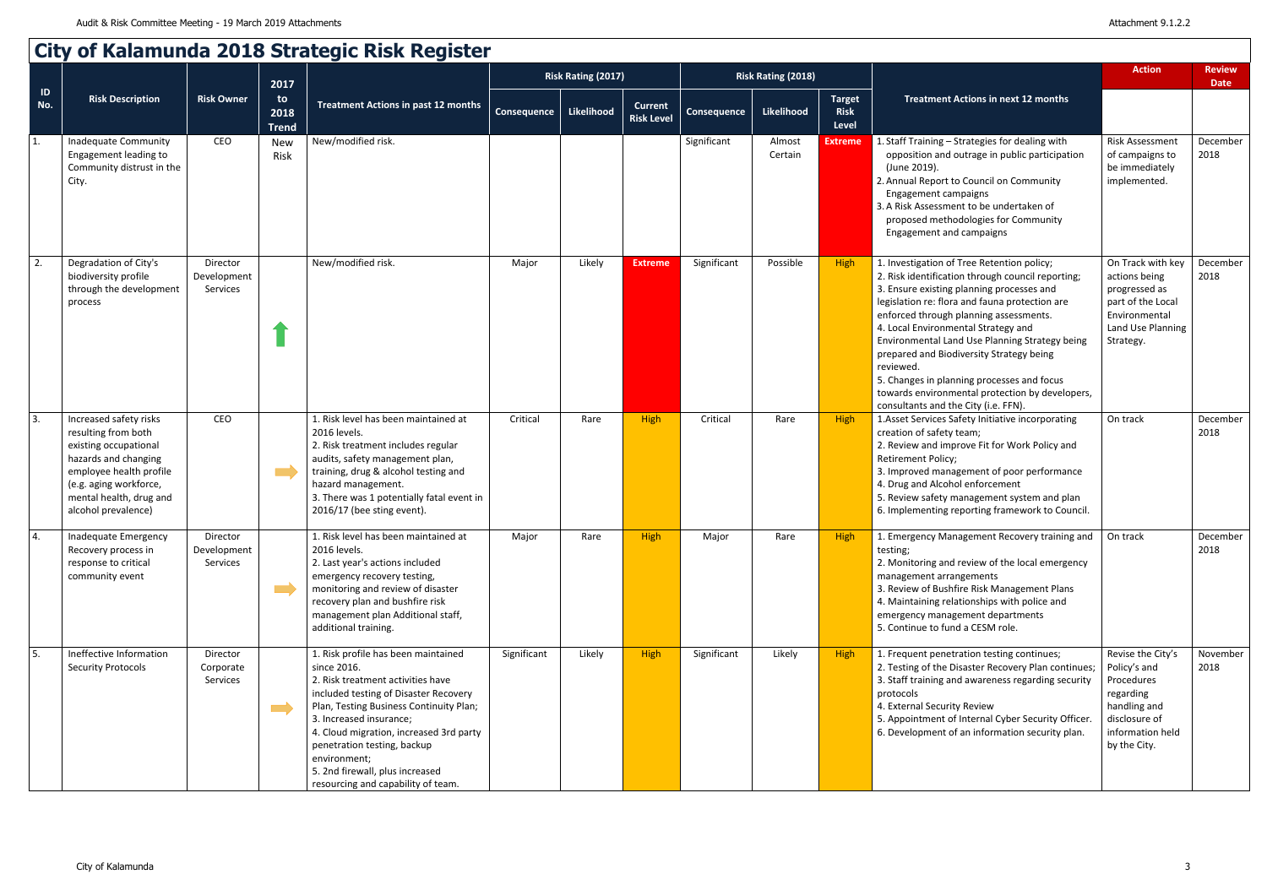|           | City of Kalamunda 2018 Strategic Risk Register                                                                                                                                                        |                                     |                            |                                                                                                                                                                                                                                                                                                                                                                           |                    |                           |                                     |                           |                   |                                       |                                                                                                                                                                                                                                                                                                                                                                                                                                                                                                                                     |                                                                                                                                   |                              |
|-----------|-------------------------------------------------------------------------------------------------------------------------------------------------------------------------------------------------------|-------------------------------------|----------------------------|---------------------------------------------------------------------------------------------------------------------------------------------------------------------------------------------------------------------------------------------------------------------------------------------------------------------------------------------------------------------------|--------------------|---------------------------|-------------------------------------|---------------------------|-------------------|---------------------------------------|-------------------------------------------------------------------------------------------------------------------------------------------------------------------------------------------------------------------------------------------------------------------------------------------------------------------------------------------------------------------------------------------------------------------------------------------------------------------------------------------------------------------------------------|-----------------------------------------------------------------------------------------------------------------------------------|------------------------------|
|           |                                                                                                                                                                                                       |                                     | 2017                       |                                                                                                                                                                                                                                                                                                                                                                           |                    | <b>Risk Rating (2017)</b> |                                     | <b>Risk Rating (2018)</b> |                   |                                       |                                                                                                                                                                                                                                                                                                                                                                                                                                                                                                                                     | <b>Action</b>                                                                                                                     | <b>Review</b><br><b>Date</b> |
| ID<br>No. | <b>Risk Description</b>                                                                                                                                                                               | <b>Risk Owner</b>                   | to<br>2018<br><b>Trend</b> | <b>Treatment Actions in past 12 months</b>                                                                                                                                                                                                                                                                                                                                | <b>Consequence</b> | <b>Likelihood</b>         | <b>Current</b><br><b>Risk Level</b> | Consequence               | Likelihood        | <b>Target</b><br><b>Risk</b><br>Level | <b>Treatment Actions in next 12 months</b>                                                                                                                                                                                                                                                                                                                                                                                                                                                                                          |                                                                                                                                   |                              |
| 1.        | Inadequate Community<br>Engagement leading to<br>Community distrust in the<br>City.                                                                                                                   | CEO                                 | <b>New</b><br>Risk         | New/modified risk.                                                                                                                                                                                                                                                                                                                                                        |                    |                           |                                     | Significant               | Almost<br>Certain | <b>Extreme</b>                        | 1. Staff Training - Strategies for dealing with<br>opposition and outrage in public participation<br>(June 2019).<br>2. Annual Report to Council on Community<br>Engagement campaigns<br>3. A Risk Assessment to be undertaken of<br>proposed methodologies for Community<br>Engagement and campaigns                                                                                                                                                                                                                               | Risk Assessment<br>of campaigns to<br>be immediately<br>implemented.                                                              | December<br>2018             |
| 2.        | Degradation of City's<br>biodiversity profile<br>through the development<br>process                                                                                                                   | Director<br>Development<br>Services |                            | New/modified risk.                                                                                                                                                                                                                                                                                                                                                        | Major              | Likely                    | <b>Extreme</b>                      | Significant               | Possible          | <b>High</b>                           | 1. Investigation of Tree Retention policy;<br>2. Risk identification through council reporting;<br>3. Ensure existing planning processes and<br>legislation re: flora and fauna protection are<br>enforced through planning assessments.<br>4. Local Environmental Strategy and<br>Environmental Land Use Planning Strategy being<br>prepared and Biodiversity Strategy being<br>reviewed.<br>5. Changes in planning processes and focus<br>towards environmental protection by developers,<br>consultants and the City (i.e. FFN). | On Track with key<br>actions being<br>progressed as<br>part of the Local<br>Environmental<br>Land Use Planning<br>Strategy.       | December<br>2018             |
| 3.        | Increased safety risks<br>resulting from both<br>existing occupational<br>hazards and changing<br>employee health profile<br>(e.g. aging workforce,<br>mental health, drug and<br>alcohol prevalence) | CEO                                 |                            | 1. Risk level has been maintained at<br>2016 levels.<br>2. Risk treatment includes regular<br>audits, safety management plan,<br>training, drug & alcohol testing and<br>hazard management.<br>3. There was 1 potentially fatal event in<br>2016/17 (bee sting event).                                                                                                    | Critical           | Rare                      | <b>High</b>                         | Critical                  | Rare              | <b>High</b>                           | 1. Asset Services Safety Initiative incorporating<br>creation of safety team;<br>2. Review and improve Fit for Work Policy and<br>Retirement Policy;<br>3. Improved management of poor performance<br>4. Drug and Alcohol enforcement<br>5. Review safety management system and plan<br>6. Implementing reporting framework to Council.                                                                                                                                                                                             | On track                                                                                                                          | December<br>2018             |
| 4.        | Inadequate Emergency<br>Recovery process in<br>response to critical<br>community event                                                                                                                | Director<br>Development<br>Services | $\mathcal{L}^{\text{max}}$ | 1. Risk level has been maintained at<br>2016 levels.<br>2. Last year's actions included<br>emergency recovery testing,<br>monitoring and review of disaster<br>recovery plan and bushfire risk<br>management plan Additional staff,<br>additional training.                                                                                                               | Major              | Rare                      | <b>High</b>                         | Major                     | Rare              | <b>High</b>                           | 1. Emergency Management Recovery training and<br>testing;<br>2. Monitoring and review of the local emergency<br>management arrangements<br>3. Review of Bushfire Risk Management Plans<br>4. Maintaining relationships with police and<br>emergency management departments<br>5. Continue to fund a CESM role.                                                                                                                                                                                                                      | On track                                                                                                                          | December<br>2018             |
| 5.        | Ineffective Information<br><b>Security Protocols</b>                                                                                                                                                  | Director<br>Corporate<br>Services   |                            | 1. Risk profile has been maintained<br>since 2016.<br>2. Risk treatment activities have<br>included testing of Disaster Recovery<br>Plan, Testing Business Continuity Plan;<br>3. Increased insurance;<br>4. Cloud migration, increased 3rd party<br>penetration testing, backup<br>environment;<br>5. 2nd firewall, plus increased<br>resourcing and capability of team. | Significant        | Likely                    | <b>High</b>                         | Significant               | Likely            | High                                  | 1. Frequent penetration testing continues;<br>2. Testing of the Disaster Recovery Plan continues;<br>3. Staff training and awareness regarding security<br>protocols<br>4. External Security Review<br>5. Appointment of Internal Cyber Security Officer.<br>6. Development of an information security plan.                                                                                                                                                                                                                        | Revise the City's<br>Policy's and<br>Procedures<br>regarding<br>handling and<br>disclosure of<br>information held<br>by the City. | November<br>2018             |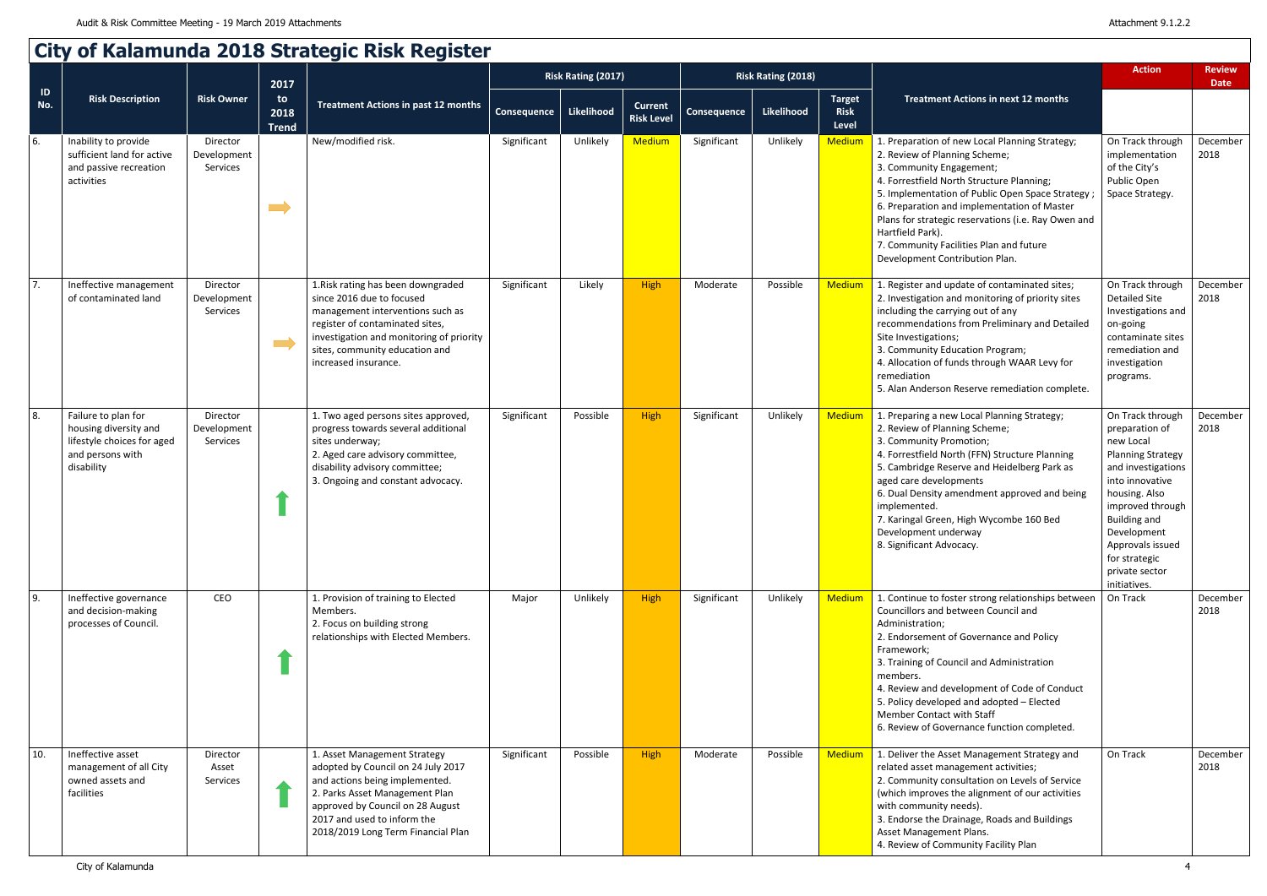|                      | City of Kalamunda 2018 Strategic Risk Register                                                               |                                     |                            |                                                                                                                                                                                                                                                 |                    |                           |                                     |             |                           |                                       |                                                                                                                                                                                                                                                                                                                                                                                                                    |                                                                                                                                                                                                                                                                        |                              |
|----------------------|--------------------------------------------------------------------------------------------------------------|-------------------------------------|----------------------------|-------------------------------------------------------------------------------------------------------------------------------------------------------------------------------------------------------------------------------------------------|--------------------|---------------------------|-------------------------------------|-------------|---------------------------|---------------------------------------|--------------------------------------------------------------------------------------------------------------------------------------------------------------------------------------------------------------------------------------------------------------------------------------------------------------------------------------------------------------------------------------------------------------------|------------------------------------------------------------------------------------------------------------------------------------------------------------------------------------------------------------------------------------------------------------------------|------------------------------|
|                      |                                                                                                              |                                     | 2017                       |                                                                                                                                                                                                                                                 |                    | <b>Risk Rating (2017)</b> |                                     |             | <b>Risk Rating (2018)</b> |                                       |                                                                                                                                                                                                                                                                                                                                                                                                                    | <b>Action</b>                                                                                                                                                                                                                                                          | <b>Review</b><br><b>Date</b> |
| $\mathsf{ID}$<br>No. | <b>Risk Description</b>                                                                                      | <b>Risk Owner</b>                   | to<br>2018<br><b>Trend</b> | <b>Treatment Actions in past 12 months</b>                                                                                                                                                                                                      | <b>Consequence</b> | Likelihood                | <b>Current</b><br><b>Risk Level</b> | Consequence | Likelihood                | <b>Target</b><br><b>Risk</b><br>Level | <b>Treatment Actions in next 12 months</b>                                                                                                                                                                                                                                                                                                                                                                         |                                                                                                                                                                                                                                                                        |                              |
| 6.                   | Inability to provide<br>sufficient land for active<br>and passive recreation<br>activities                   | Director<br>Development<br>Services | $\implies$                 | New/modified risk.                                                                                                                                                                                                                              | Significant        | Unlikely                  | <b>Medium</b>                       | Significant | Unlikely                  | <b>Medium</b>                         | 1. Preparation of new Local Planning Strategy;<br>2. Review of Planning Scheme;<br>3. Community Engagement;<br>4. Forrestfield North Structure Planning;<br>5. Implementation of Public Open Space Strategy<br>6. Preparation and implementation of Master<br>Plans for strategic reservations (i.e. Ray Owen and<br>Hartfield Park).<br>7. Community Facilities Plan and future<br>Development Contribution Plan. | On Track through<br>implementation<br>of the City's<br>Public Open<br>Space Strategy.                                                                                                                                                                                  | December<br>2018             |
| 7.                   | Ineffective management<br>of contaminated land                                                               | Director<br>Development<br>Services | $\qquad \qquad \Box$       | 1. Risk rating has been downgraded<br>since 2016 due to focused<br>management interventions such as<br>register of contaminated sites,<br>investigation and monitoring of priority<br>sites, community education and<br>increased insurance.    | Significant        | Likely                    | <b>High</b>                         | Moderate    | Possible                  | <b>Medium</b>                         | 1. Register and update of contaminated sites;<br>2. Investigation and monitoring of priority sites<br>including the carrying out of any<br>recommendations from Preliminary and Detailed<br>Site Investigations;<br>3. Community Education Program;<br>4. Allocation of funds through WAAR Levy for<br>remediation<br>5. Alan Anderson Reserve remediation complete.                                               | On Track through<br><b>Detailed Site</b><br>Investigations and<br>on-going<br>contaminate sites<br>remediation and<br>investigation<br>programs.                                                                                                                       | December<br>2018             |
| 8.                   | Failure to plan for<br>housing diversity and<br>lifestyle choices for aged<br>and persons with<br>disability | Director<br>Development<br>Services |                            | 1. Two aged persons sites approved,<br>progress towards several additional<br>sites underway;<br>2. Aged care advisory committee,<br>disability advisory committee;<br>3. Ongoing and constant advocacy.                                        | Significant        | Possible                  | <b>High</b>                         | Significant | Unlikely                  | <b>Medium</b>                         | 1. Preparing a new Local Planning Strategy;<br>2. Review of Planning Scheme;<br>3. Community Promotion;<br>4. Forrestfield North (FFN) Structure Planning<br>5. Cambridge Reserve and Heidelberg Park as<br>aged care developments<br>6. Dual Density amendment approved and being<br>implemented.<br>7. Karingal Green, High Wycombe 160 Bed<br>Development underway<br>8. Significant Advocacy.                  | On Track through<br>preparation of<br>new Local<br><b>Planning Strategy</b><br>and investigations<br>into innovative<br>housing. Also<br>improved through<br><b>Building and</b><br>Development<br>Approvals issued<br>for strategic<br>private sector<br>initiatives. | December<br>2018             |
| $\vert$ 9.           | Ineffective governance<br>and decision-making<br>processes of Council.                                       | CEO                                 |                            | 1. Provision of training to Elected<br>Members.<br>2. Focus on building strong<br>relationships with Elected Members.                                                                                                                           | Major              | Unlikely                  | <b>High</b>                         | Significant | Unlikely                  | <b>Medium</b>                         | 1. Continue to foster strong relationships between<br>Councillors and between Council and<br>Administration;<br>2. Endorsement of Governance and Policy<br>Framework;<br>3. Training of Council and Administration<br>members.<br>4. Review and development of Code of Conduct<br>5. Policy developed and adopted - Elected<br>Member Contact with Staff<br>6. Review of Governance function completed.            | On Track                                                                                                                                                                                                                                                               | December<br>2018             |
| 10.                  | Ineffective asset<br>management of all City<br>owned assets and<br>facilities                                | Director<br>Asset<br>Services       |                            | 1. Asset Management Strategy<br>adopted by Council on 24 July 2017<br>and actions being implemented.<br>2. Parks Asset Management Plan<br>approved by Council on 28 August<br>2017 and used to inform the<br>2018/2019 Long Term Financial Plan | Significant        | Possible                  | <b>High</b>                         | Moderate    | Possible                  | <b>Medium</b>                         | 1. Deliver the Asset Management Strategy and<br>related asset management activities;<br>2. Community consultation on Levels of Service<br>(which improves the alignment of our activities<br>with community needs).<br>3. Endorse the Drainage, Roads and Buildings<br>Asset Management Plans.<br>4. Review of Community Facility Plan                                                                             | On Track                                                                                                                                                                                                                                                               | December<br>2018             |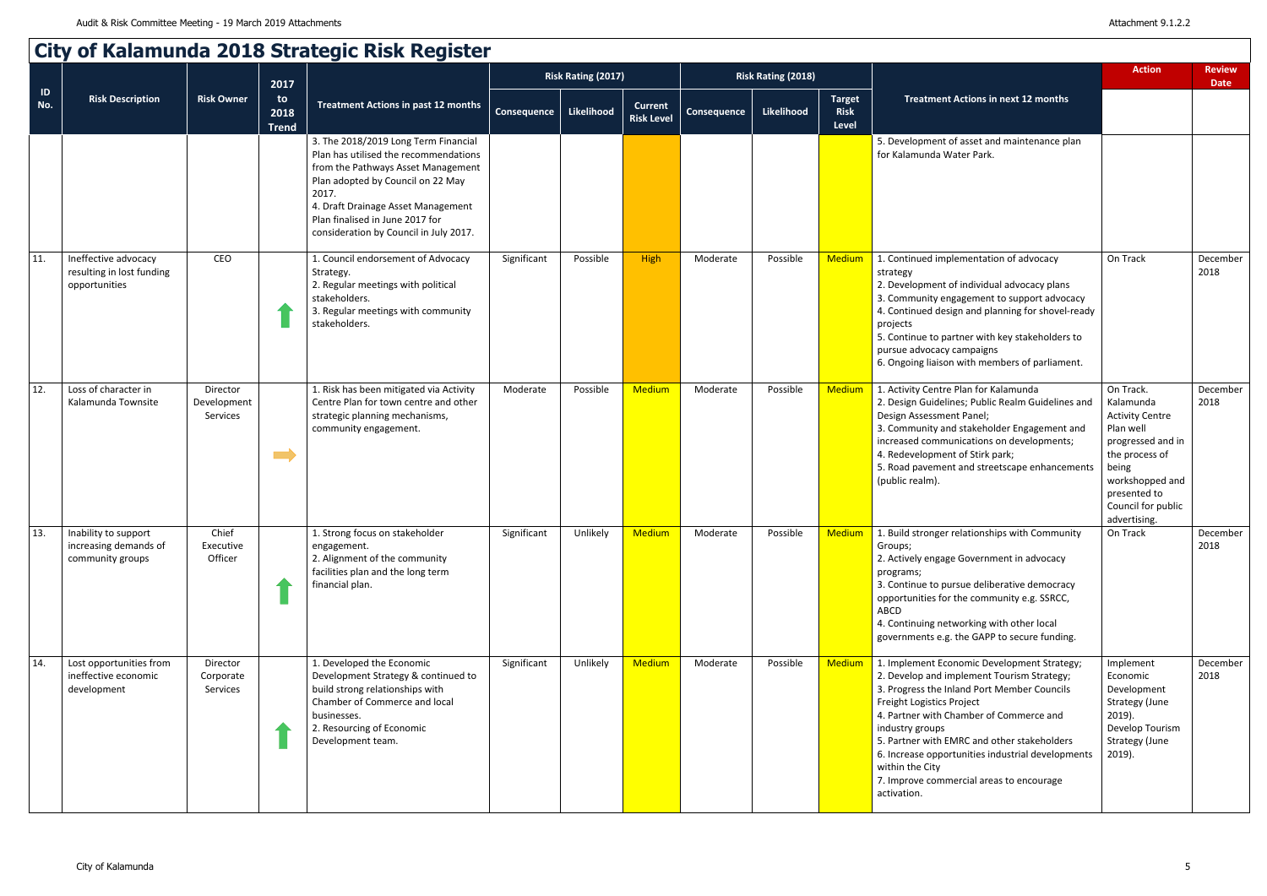|                      | City of Kalamunda 2018 Strategic Risk Register                     |                                     |                            |                                                                                                                                                                                                                                                                                      |                    |                           |                                     |             |                    |                                       |                                                                                                                                                                                                                                                                                                                                                                                                                       |                                                                                                                                                                                        |                              |
|----------------------|--------------------------------------------------------------------|-------------------------------------|----------------------------|--------------------------------------------------------------------------------------------------------------------------------------------------------------------------------------------------------------------------------------------------------------------------------------|--------------------|---------------------------|-------------------------------------|-------------|--------------------|---------------------------------------|-----------------------------------------------------------------------------------------------------------------------------------------------------------------------------------------------------------------------------------------------------------------------------------------------------------------------------------------------------------------------------------------------------------------------|----------------------------------------------------------------------------------------------------------------------------------------------------------------------------------------|------------------------------|
|                      |                                                                    |                                     | 2017                       |                                                                                                                                                                                                                                                                                      |                    | <b>Risk Rating (2017)</b> |                                     |             | Risk Rating (2018) |                                       |                                                                                                                                                                                                                                                                                                                                                                                                                       | <b>Action</b>                                                                                                                                                                          | <b>Review</b><br><b>Date</b> |
| $\mathsf{ID}$<br>No. | <b>Risk Description</b>                                            | <b>Risk Owner</b>                   | to<br>2018<br><b>Trend</b> | <b>Treatment Actions in past 12 months</b>                                                                                                                                                                                                                                           | <b>Consequence</b> | Likelihood                | <b>Current</b><br><b>Risk Level</b> | Consequence | <b>Likelihood</b>  | <b>Target</b><br><b>Risk</b><br>Level | <b>Treatment Actions in next 12 months</b>                                                                                                                                                                                                                                                                                                                                                                            |                                                                                                                                                                                        |                              |
|                      |                                                                    |                                     |                            | 3. The 2018/2019 Long Term Financial<br>Plan has utilised the recommendations<br>from the Pathways Asset Management<br>Plan adopted by Council on 22 May<br>2017.<br>4. Draft Drainage Asset Management<br>Plan finalised in June 2017 for<br>consideration by Council in July 2017. |                    |                           |                                     |             |                    |                                       | 5. Development of asset and maintenance plan<br>for Kalamunda Water Park.                                                                                                                                                                                                                                                                                                                                             |                                                                                                                                                                                        |                              |
| 11.                  | Ineffective advocacy<br>resulting in lost funding<br>opportunities | CEO                                 |                            | 1. Council endorsement of Advocacy<br>Strategy.<br>2. Regular meetings with political<br>stakeholders.<br>3. Regular meetings with community<br>stakeholders.                                                                                                                        | Significant        | Possible                  | High                                | Moderate    | Possible           | <b>Medium</b>                         | 1. Continued implementation of advocacy<br>strategy<br>2. Development of individual advocacy plans<br>3. Community engagement to support advocacy<br>4. Continued design and planning for shovel-ready<br>projects<br>5. Continue to partner with key stakeholders to<br>pursue advocacy campaigns<br>6. Ongoing liaison with members of parliament.                                                                  | On Track                                                                                                                                                                               | December<br>2018             |
| 12.                  | Loss of character in<br>Kalamunda Townsite                         | Director<br>Development<br>Services | $\blacksquare$             | 1. Risk has been mitigated via Activity<br>Centre Plan for town centre and other<br>strategic planning mechanisms,<br>community engagement.                                                                                                                                          | Moderate           | Possible                  | <b>Medium</b>                       | Moderate    | Possible           | Medium                                | 1. Activity Centre Plan for Kalamunda<br>2. Design Guidelines; Public Realm Guidelines and<br>Design Assessment Panel;<br>3. Community and stakeholder Engagement and<br>increased communications on developments;<br>4. Redevelopment of Stirk park;<br>5. Road pavement and streetscape enhancements<br>(public realm).                                                                                             | On Track.<br>Kalamunda<br><b>Activity Centre</b><br>Plan well<br>progressed and in<br>the process of<br>being<br>workshopped and<br>presented to<br>Council for public<br>advertising. | December<br>2018             |
| 13.                  | Inability to support<br>increasing demands of<br>community groups  | Chief<br>Executive<br>Officer       |                            | 1. Strong focus on stakeholder<br>engagement.<br>2. Alignment of the community<br>facilities plan and the long term<br>financial plan.                                                                                                                                               | Significant        | Unlikely                  | <b>Medium</b>                       | Moderate    | Possible           | <b>Medium</b>                         | 1. Build stronger relationships with Community<br>Groups;<br>2. Actively engage Government in advocacy<br>programs;<br>3. Continue to pursue deliberative democracy<br>opportunities for the community e.g. SSRCC,<br>ABCD<br>4. Continuing networking with other local<br>governments e.g. the GAPP to secure funding.                                                                                               | On Track                                                                                                                                                                               | December<br>2018             |
| 14.                  | Lost opportunities from<br>ineffective economic<br>development     | Director<br>Corporate<br>Services   |                            | 1. Developed the Economic<br>Development Strategy & continued to<br>build strong relationships with<br>Chamber of Commerce and local<br>businesses.<br>2. Resourcing of Economic<br>Development team.                                                                                | Significant        | Unlikely                  | <b>Medium</b>                       | Moderate    | Possible           | Medium                                | 1. Implement Economic Development Strategy;<br>2. Develop and implement Tourism Strategy;<br>3. Progress the Inland Port Member Councils<br>Freight Logistics Project<br>4. Partner with Chamber of Commerce and<br>industry groups<br>5. Partner with EMRC and other stakeholders<br>6. Increase opportunities industrial developments<br>within the City<br>7. Improve commercial areas to encourage<br>activation. | Implement<br>Economic<br>Development<br>Strategy (June<br>$2019$ ).<br>Develop Tourism<br>Strategy (June<br>$2019$ ).                                                                  | December<br>2018             |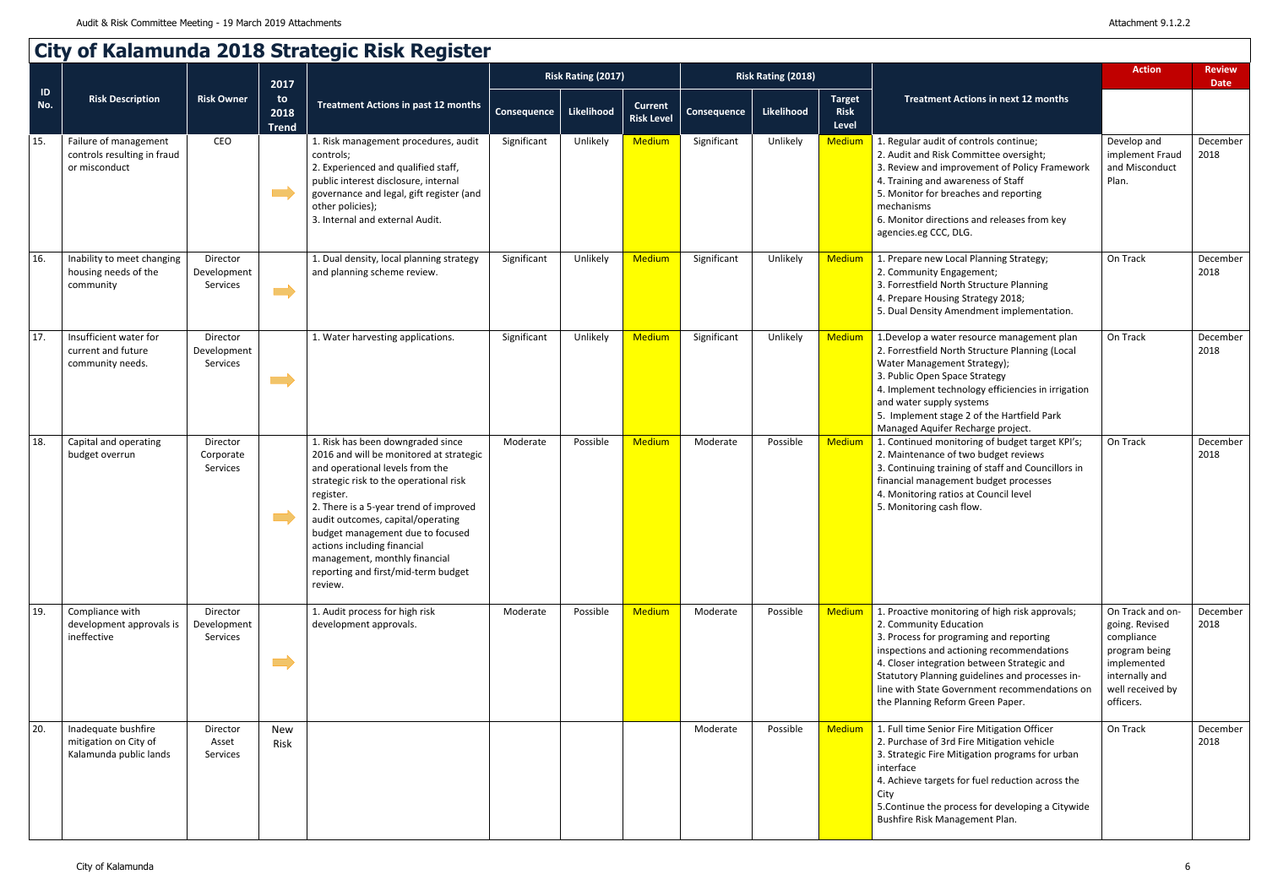|                      |                                                                        |                                     |                                    | <b>City of Kalamunda 2018 Strategic Risk Register</b><br><b>Treatment Actions in past 12 months</b>                                                                                                                                                                                                                                                                                                         | <b>Risk Rating (2017)</b> |            |                                     | <b>Risk Rating (2018)</b> |            |                                       |                                                                                                                                                                                                                                                                                                                                                          | <b>Action</b>                                                                                                                       | <b>Review</b>    |
|----------------------|------------------------------------------------------------------------|-------------------------------------|------------------------------------|-------------------------------------------------------------------------------------------------------------------------------------------------------------------------------------------------------------------------------------------------------------------------------------------------------------------------------------------------------------------------------------------------------------|---------------------------|------------|-------------------------------------|---------------------------|------------|---------------------------------------|----------------------------------------------------------------------------------------------------------------------------------------------------------------------------------------------------------------------------------------------------------------------------------------------------------------------------------------------------------|-------------------------------------------------------------------------------------------------------------------------------------|------------------|
| $\mathsf{ID}$<br>No. | <b>Risk Description</b>                                                | <b>Risk Owner</b>                   | 2017<br>to<br>2018<br><b>Trend</b> |                                                                                                                                                                                                                                                                                                                                                                                                             | <b>Consequence</b>        | Likelihood | <b>Current</b><br><b>Risk Level</b> | <b>Consequence</b>        | Likelihood | Target<br><b>Risk</b><br><b>Level</b> | Treatment Actions in next 12 months                                                                                                                                                                                                                                                                                                                      |                                                                                                                                     | <b>Date</b>      |
| 15.                  | Failure of management<br>controls resulting in fraud<br>or misconduct  | CEO                                 |                                    | 1. Risk management procedures, audit<br>controls;<br>2. Experienced and qualified staff,<br>public interest disclosure, internal<br>governance and legal, gift register (and<br>other policies);<br>3. Internal and external Audit.                                                                                                                                                                         | Significant               | Unlikely   | <b>Medium</b>                       | Significant               | Unlikely   | <b>Medium</b>                         | 1. Regular audit of controls continue;<br>2. Audit and Risk Committee oversight;<br>3. Review and improvement of Policy Framework<br>4. Training and awareness of Staff<br>5. Monitor for breaches and reporting<br>mechanisms<br>6. Monitor directions and releases from key<br>agencies.eg CCC, DLG.                                                   | Develop and<br>implement Fraud<br>and Misconduct<br>Plan.                                                                           | December<br>2018 |
| 16.                  | Inability to meet changing<br>housing needs of the<br>community        | Director<br>Development<br>Services | $\equiv$                           | 1. Dual density, local planning strategy<br>and planning scheme review.                                                                                                                                                                                                                                                                                                                                     | Significant               | Unlikely   | Medium                              | Significant               | Unlikely   | <b>Medium</b>                         | 1. Prepare new Local Planning Strategy;<br>2. Community Engagement;<br>3. Forrestfield North Structure Planning<br>4. Prepare Housing Strategy 2018;<br>5. Dual Density Amendment implementation.                                                                                                                                                        | On Track                                                                                                                            | December<br>2018 |
| 17.                  | Insufficient water for<br>current and future<br>community needs.       | Director<br>Development<br>Services | <u>a m</u>                         | 1. Water harvesting applications.                                                                                                                                                                                                                                                                                                                                                                           | Significant               | Unlikely   | <b>Medium</b>                       | Significant               | Unlikely   | Medium                                | 1. Develop a water resource management plan<br>2. Forrestfield North Structure Planning (Local<br>Water Management Strategy);<br>3. Public Open Space Strategy<br>4. Implement technology efficiencies in irrigation<br>and water supply systems<br>5. Implement stage 2 of the Hartfield Park<br>Managed Aquifer Recharge project.                      | On Track                                                                                                                            | December<br>2018 |
| 18.                  | Capital and operating<br>budget overrun                                | Director<br>Corporate<br>Services   |                                    | 1. Risk has been downgraded since<br>2016 and will be monitored at strategic<br>and operational levels from the<br>strategic risk to the operational risk<br>register.<br>2. There is a 5-year trend of improved<br>audit outcomes, capital/operating<br>budget management due to focused<br>actions including financial<br>management, monthly financial<br>reporting and first/mid-term budget<br>review. | Moderate                  | Possible   | <b>Medium</b>                       | Moderate                  | Possible   | <b>Medium</b>                         | 1. Continued monitoring of budget target KPI's;<br>2. Maintenance of two budget reviews<br>3. Continuing training of staff and Councillors in<br>financial management budget processes<br>4. Monitoring ratios at Council level<br>5. Monitoring cash flow.                                                                                              | On Track                                                                                                                            | December<br>2018 |
| 19.                  | Compliance with<br>development approvals is<br>ineffective             | Director<br>Development<br>Services | $\implies$                         | 1. Audit process for high risk<br>development approvals.                                                                                                                                                                                                                                                                                                                                                    | Moderate                  | Possible   | <b>Medium</b>                       | Moderate                  | Possible   | <b>Medium</b>                         | 1. Proactive monitoring of high risk approvals;<br>2. Community Education<br>3. Process for programing and reporting<br>inspections and actioning recommendations<br>4. Closer integration between Strategic and<br>Statutory Planning guidelines and processes in-<br>line with State Government recommendations on<br>the Planning Reform Green Paper. | On Track and on-<br>going. Revised<br>compliance<br>program being<br>implemented<br>internally and<br>well received by<br>officers. | December<br>2018 |
| 20.                  | Inadequate bushfire<br>mitigation on City of<br>Kalamunda public lands | Director<br>Asset<br>Services       | New<br>Risk                        |                                                                                                                                                                                                                                                                                                                                                                                                             |                           |            |                                     | Moderate                  | Possible   | <b>Medium</b>                         | 1. Full time Senior Fire Mitigation Officer<br>2. Purchase of 3rd Fire Mitigation vehicle<br>3. Strategic Fire Mitigation programs for urban<br>interface<br>4. Achieve targets for fuel reduction across the<br>City<br>5. Continue the process for developing a Citywide<br>Bushfire Risk Management Plan.                                             | On Track                                                                                                                            | December<br>2018 |